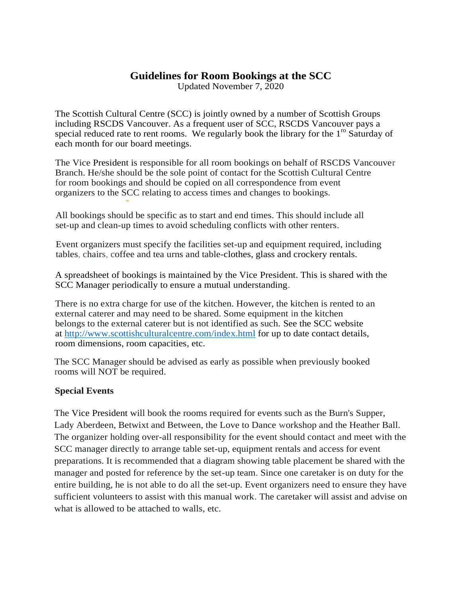## **Guidelines for Room Bookings at the SCC**

Updated November 7, 2020

The Scottish Cultural Centre (SCC) is jointly owned by a number of Scottish Groups including RSCDS Vancouver. As a frequent user of SCC, RSCDS Vancouver pays a special reduced rate to rent rooms. We regularly book the library for the  $1<sup>10</sup>$  Saturday of each month for our board meetings.

The Vice President is responsible for all room bookings on behalf of RSCDS Vancouver Branch. He/she should be the sole point of contact for the Scottish Cultural Centre for room bookings and should be copied on all correspondence from event organizers to the SCC relating to access times and changes to bookings.

All bookings should be specific as to start and end times. This should include all set-up and clean-up times to avoid scheduling conflicts with other renters.

Event organizers must specify the facilities set-up and equipment required, including tables, chairs, coffee and tea urns and table-clothes, glass and crockery rentals.

A spreadsheet of bookings is maintained by the Vice President. This is shared with the SCC Manager periodically to ensure a mutual understanding.

There is no extra charge for use of the kitchen. However, the kitchen is rented to an external caterer and may need to be shared. Some equipment in the kitchen belongs to the external caterer but is not identified as such. See the SCC website at [http://www.scottishculturalcentre.com/index.html](http://www.scottishculturalcentre.com/index.htmlfor) for up to date contact details, room dimensions, room capacities, etc.

The SCC Manager should be advised as early as possible when previously booked rooms will NOT be required.

## **Special Events**

••

The Vice President will book the rooms required for events such as the Burn's Supper, Lady Aberdeen, Betwixt and Between, the Love to Dance workshop and the Heather Ball. The organizer holding over-all responsibility for the event should contact and meet with the SCC manager directly to arrange table set-up, equipment rentals and access for event preparations. It is recommended that a diagram showing table placement be shared with the manager and posted for reference by the set-up team. Since one caretaker is on duty for the entire building, he is not able to do all the set-up. Event organizers need to ensure they have sufficient volunteers to assist with this manual work. The caretaker will assist and advise on what is allowed to be attached to walls, etc.